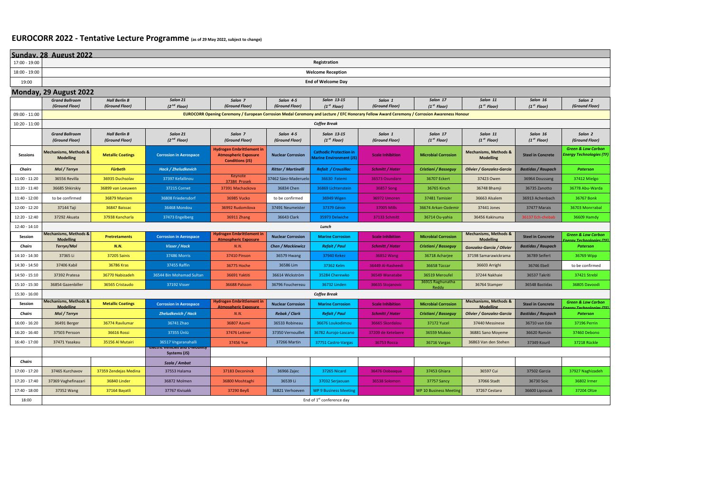## **EUROCORR 2022 - Tentative Lecture Programme (as of 29 May 2022, subject to change)**

| Salon 11<br>(1 $^{st}$ Floor)        | Salon 16<br>$(1st$ Floor) | Salon <sub>2</sub><br>(Ground Floor)                             |
|--------------------------------------|---------------------------|------------------------------------------------------------------|
|                                      |                           |                                                                  |
|                                      |                           |                                                                  |
| Salon 11                             | Salon 16                  | Salon <sub>2</sub>                                               |
| (1 <sup>st</sup> Floor)              | $(1st$ Floor)             | (Ground Floor)                                                   |
| าisms, Methods &<br><b>Modelling</b> | <b>Steel in Concrete</b>  | <b>Green &amp; Low Carbon</b><br><b>Energy Technologies (TF)</b> |
| Gonzalez-Garcia                      | <b>Bastidas / Raupach</b> | <b>Paterson</b>                                                  |
| 7423 Owen                            | 36964 Doussang            | 37412 Mielgo                                                     |
| 6748 Bhamji                          | 36735 Zanotto             | 36778 Abu-Warda                                                  |
| 663 Alsalem                          | 36913 Achenbach           | 36767 Bonk                                                       |
| 37441 Jones                          | 37477 Marais              | 36703 Monrrabal                                                  |
| <b>156 Kakinuma</b>                  | 36137 Ech-chebab          | 36609 Hamdy                                                      |
|                                      |                           |                                                                  |
| nisms, Methods &<br><b>Modelling</b> | <b>Steel in Concrete</b>  | <b>Green &amp; Low Carbon</b><br><u>ray Technologies (TE)</u>    |
| ez-Garcia / Olivier                  | <b>Bastidas / Raupach</b> | <b>Paterson</b>                                                  |
| Samarawickrama                       | 36789 Seifert             | 36769 Wipp                                                       |
| 6603 Arrighi                         | 36746 Ebell               | to be confirmed                                                  |
| '244 Nakhaie                         | 36537 Takriti             | 37421 Strebl                                                     |
| 764 Stamper                          | 36548 Bastidas            | 36805 Davoodi                                                    |
|                                      |                           |                                                                  |
| nisms, Methods &<br><b>Modelling</b> | <b>Steel in Concrete</b>  | <b>Green &amp; Low Carbon</b><br><b>Energy Technologies (TF)</b> |
| Gonzalez-Garcia                      | <b>Bastidas / Raupach</b> | <b>Paterson</b>                                                  |
| <b>40 Messinese</b>                  | 36710 van Ede             | 37196 Perrin                                                     |
| 1 Sano Moyeme                        | 36620 Ramón               | 37460 Debono                                                     |
| Van den Stehen                       | <b>37349 Kouril</b>       | 37218 Rückle                                                     |
|                                      |                           |                                                                  |
|                                      |                           |                                                                  |
| 36597 Cui                            | 37502 Garcia              | 37927 Naghizadeh                                                 |
| 37066 Stadt                          | 36730 Soic                | 36802 Irmer                                                      |
| 7267 Cestaro                         | 36600 Liposcak            | 37204 Oltze                                                      |
|                                      |                           |                                                                  |

|                 | Sunday, 28 August 2022                               |                                        |                                                    |                                                                                                                                             |                             |                                                                 |                           |                               |                                                      |                           |                                                         |  |  |  |
|-----------------|------------------------------------------------------|----------------------------------------|----------------------------------------------------|---------------------------------------------------------------------------------------------------------------------------------------------|-----------------------------|-----------------------------------------------------------------|---------------------------|-------------------------------|------------------------------------------------------|---------------------------|---------------------------------------------------------|--|--|--|
| 17:00 - 19:00   |                                                      |                                        |                                                    |                                                                                                                                             |                             | Registration                                                    |                           |                               |                                                      |                           |                                                         |  |  |  |
| 18:00 - 19:00   | <b>Welcome Reception</b>                             |                                        |                                                    |                                                                                                                                             |                             |                                                                 |                           |                               |                                                      |                           |                                                         |  |  |  |
| 19:00           |                                                      |                                        |                                                    |                                                                                                                                             |                             | <b>End of Welcome Day</b>                                       |                           |                               |                                                      |                           |                                                         |  |  |  |
|                 | Monday, 29 August 2022                               |                                        |                                                    |                                                                                                                                             |                             |                                                                 |                           |                               |                                                      |                           |                                                         |  |  |  |
|                 | <b>Grand Ballroom</b><br>(Ground Floor)              | <b>Hall Berlin B</b><br>(Ground Floor) | Salon 21<br>(2 <sup>nd</sup> Floor)                | Salon 7<br>(Ground Floor)                                                                                                                   | Salon 4-5<br>(Ground Floor) | Salon 13-15<br>$(1st$ Floor)                                    | Salon 1<br>(Ground Floor) | Salon 17<br>$(1st$ Floor)     | Salon 11<br>$(1st$ Floor)                            | Salon 16                  | Salon 2<br>(Ground Floor)                               |  |  |  |
| $09:00 - 11:00$ |                                                      |                                        |                                                    | EUROCORR Opening Ceremony / European Corrosion Medal Ceremony and Lecture / EFC Honorary Fellow Award Ceremony / Corrosion Awareness Honour |                             |                                                                 |                           |                               |                                                      | $(1st$ Floor)             |                                                         |  |  |  |
| 10:20 - 11:00   |                                                      |                                        |                                                    |                                                                                                                                             |                             | Coffee Break                                                    |                           |                               |                                                      |                           |                                                         |  |  |  |
|                 | <b>Grand Ballroom</b>                                | <b>Hall Berlin B</b>                   | Salon 21                                           | Salon 7                                                                                                                                     | Salon 4-5                   | Salon 13-15                                                     | Salon 1                   | Salon 17                      | Salon 11                                             | Salon 16                  | Salon 2                                                 |  |  |  |
|                 | (Ground Floor)                                       | (Ground Floor)                         | $(2nd$ Floor)                                      | (Ground Floor)                                                                                                                              | (Ground Floor)              | $(1st$ Floor)                                                   | (Ground Floor)            | (1 <sup>st</sup> Floor)       | $(1st$ Floor)                                        | $(1st$ Floor)             | (Ground Floor)                                          |  |  |  |
| <b>Sessions</b> | <b>Mechanisms, Methods &amp;</b><br><b>Modelling</b> | <b>Metallic Coatings</b>               | <b>Corrosion in Aerospace</b>                      | <b>Hydrogen Embrittlement in</b><br><b>Atmospheric Exposure</b><br><b>Conditions (JS)</b>                                                   | <b>Nuclear Corrosion</b>    | <b>Cathodic Protection in</b><br><b>Marine Environment (JS)</b> | <b>Scale Inhibition</b>   | <b>Microbial Corrosion</b>    | <b>Mechanisms, Methods &amp;</b><br><b>Modelling</b> | <b>Steel in Concrete</b>  | <b>Green &amp; Low Carbo</b><br>Energy Technologies     |  |  |  |
| <b>Chairs</b>   | Mol / Terryn                                         | <b>Fürbeth</b>                         | <b>Hack / Zheludkevich</b>                         |                                                                                                                                             | <b>Ritter / Martinelli</b>  | Refait / Crouzillac                                             | <b>Schmitt / Hater</b>    | Cristiani / Basseguy          | <b>Olivier / Gonzalez-Garcia</b>                     | <b>Bastidas / Raupach</b> | <b>Paterson</b>                                         |  |  |  |
| 11:00 - 11:20   | 36556 Revilla                                        | 36935 Duchsolav                        | 37397 Kefallinou                                   | Keynote<br>37384 Prosek                                                                                                                     | 37462 Sáez-Maderuelo        | 36630 Fatemi                                                    | 36573 Osundare            | 36707 Eckert                  | 37423 Owen                                           | 36964 Doussang            | 37412 Mielgo                                            |  |  |  |
| 11:20 - 11:40   | 36685 Shkirskiy                                      | 36899 van Leeuwen                      | 37215 Cornet                                       | 37391 Machackova                                                                                                                            | 36834 Chen                  | 36869 Lichtenstein                                              | 36857 Song                | 36765 Kirsch                  | 36748 Bhamji                                         | 36735 Zanotto             | 36778 Abu-Warda                                         |  |  |  |
| 11:40 - 12:00   | to be confirmed                                      | 36879 Maniam                           | 36808 Friedersdorf                                 | 36985 Vucko                                                                                                                                 | to be confirmed             | 36949 Wigen                                                     | 36972 Umoren              | 37481 Tamisier                | 36663 Alsalem                                        | 36913 Achenbach           | 36767 Bonk                                              |  |  |  |
| 12:00 - 12:20   | 37144 Taji                                           | 36847 Baissac                          | <b>36468 Mondou</b>                                | 36992 Rudomilova                                                                                                                            | 37491 Neumeister            | 37379 Génin                                                     | 37005 Mills               | 36674 Arkan-Ozdemir           | 37441 Jones                                          | 37477 Marais              | 36703 Monrrabal                                         |  |  |  |
| 12:20 - 12:40   | 37292 Akuata                                         | 37938 Kancharla                        | 37473 Engelberg                                    | 36911 Zhang                                                                                                                                 | 36643 Clark                 | 35973 Delwiche                                                  | 37133 Schmitt             | 36714 Ou-yahia                | 36456 Kakinuma                                       | 36137 Ech-chebab          | 36609 Hamdy                                             |  |  |  |
| 12:40 - 14:10   |                                                      |                                        |                                                    |                                                                                                                                             |                             | Lunch                                                           |                           |                               |                                                      |                           |                                                         |  |  |  |
| Session         | <b>Mechanisms, Methods &amp;</b><br><b>Modelling</b> | <b>Pretretaments</b>                   | <b>Corrosion in Aerospace</b>                      | <b>Hydrogen Embrittlement in</b><br><b>Atmospheric Exposure</b>                                                                             | <b>Nuclear Corrosion</b>    | <b>Marine Corrosion</b>                                         | <b>Scale Inhibition</b>   | <b>Microbial Corrosion</b>    | <b>Mechanisms, Methods &amp;</b><br><b>Modelling</b> | <b>Steel in Concrete</b>  | <b>Green &amp; Low Carbo</b><br><u>xay Technologies</u> |  |  |  |
| Chairs          | Terryn/Mol                                           | N.N.                                   | Visser / Hack                                      | N.N.                                                                                                                                        | <b>Chen / Mackiewicz</b>    | <b>Refait / Paul</b>                                            | Schmitt / Hater           | <b>Cristiani / Basseguy</b>   | Gonzalez-Garcia / Olivier                            | <b>Bastidas / Raupach</b> | <b>Paterson</b>                                         |  |  |  |
| 14:10 - 14:30   | 37365 Li                                             | 37205 Sainis                           | <b>37486 Morris</b>                                | <b>37410 Pinson</b>                                                                                                                         | 36579 Hwang                 | 37940 Kekez                                                     | 36852 Wang                | 36718 Acharjee                | 37198 Samarawickrama                                 | 36789 Seifert             | 36769 Wipp                                              |  |  |  |
| 14:30 - 14:50   | 37406 Kabil                                          | 36786 Kras                             | 37455 Raffin                                       | 36775 Hoche                                                                                                                                 | 36586 Lim                   | 37362 Kelm                                                      | 36449 Al-Rasheedi         | 36658 Tüccar                  | 36603 Arrighi                                        | 36746 Ebell               | to be confirmed                                         |  |  |  |
| 14:50 - 15:10   | 37392 Pratesa                                        | 36770 Nabizadeh                        | 36544 Bin Mohamad Sultan                           | 36691 Yaktiti                                                                                                                               | 36614 Wickström             | 35284 Cherewko                                                  | 36549 Wanatabe            | 36519 Meroufel                | 37244 Nakhaie                                        | 36537 Takriti             | 37421 Strebl                                            |  |  |  |
| 15:10 - 15:30   | 36854 Gazenbiller                                    | 36565 Cristaudo                        | 37192 Visser                                       | 36688 Palsson                                                                                                                               | 36796 Fouchereau            | 36732 Linden                                                    | 36635 Stojanovic          | 36915 Raghunatha<br>Reddy     | 36764 Stamper                                        | 36548 Bastidas            | 36805 Davoodi                                           |  |  |  |
| 15:30 - 16:00   |                                                      |                                        |                                                    |                                                                                                                                             |                             | <b>Coffee Break</b>                                             |                           |                               |                                                      |                           |                                                         |  |  |  |
| Session         | <b>Mechanisms, Methods &amp;</b><br><b>Modelling</b> | <b>Metallic Coatings</b>               | <b>Corrosion in Aerospace</b>                      | Hydrogen Embrittlement in<br><b>Atmospheric Exposure</b>                                                                                    | <b>Nuclear Corrosion</b>    | <b>Marine Corrosion</b>                                         | <b>Scale Inhibition</b>   | <b>Microbial Corrosion</b>    | <b>Mechanisms, Methods &amp;</b><br><b>Modelling</b> | <b>Steel in Concrete</b>  | <b>Green &amp; Low Carbo</b><br>neray Technologies      |  |  |  |
| Chairs          | Mol / Terryn                                         |                                        | <b>Zheludkevich / Hack</b>                         | N.N.                                                                                                                                        | <b>Rebak / Clark</b>        | <b>Refait / Paul</b>                                            | <b>Schmitt / Hater</b>    | Cristiani / Basseguy          | <b>Olivier / Gonzalez-Garcia</b>                     | <b>Bastidas / Raupach</b> | <b>Paterson</b>                                         |  |  |  |
| 16:00 - 16:20   | 36491 Berger                                         | 36774 Ravilumar                        | 36741 Zhao                                         | 36807 Azumi                                                                                                                                 | 36533 Robineau              | 36676 Loukodimou                                                | 36665 Skordalou           | 37172 Yucel                   | 37440 Messinese                                      | 36710 van Ede             | 37196 Perrin                                            |  |  |  |
| 16:20 - 16:40   | 37503 Persson                                        | <b>36616 Rossi</b>                     | 37355 Ünlü                                         | 37476 Leitner                                                                                                                               | 37350 Vernouillet           | 36782 Aurojo-Lascano                                            | 37209 de Ketelaere        | 36559 Mukoo                   | 36881 Sano Moyeme                                    | 36620 Ramón               | 37460 Debono                                            |  |  |  |
| $16:40 - 17:00$ | 37471 Yasakau                                        | 35156 Al Mutairi                       | 36517 Vngaranahalli                                | 37456 Yue                                                                                                                                   | 37266 Martin                | 37751 Castro-Vargas                                             | 36753 Rocca               | 36716 Vargas                  | 36863 Van den Stehen                                 | 37349 Kouril              | 37218 Rückle                                            |  |  |  |
|                 |                                                      |                                        | dectric venicles and e-iviobility.<br>Systems (JS) |                                                                                                                                             |                             |                                                                 |                           |                               |                                                      |                           |                                                         |  |  |  |
| Chairs          |                                                      |                                        | Szala / Ambat                                      |                                                                                                                                             |                             |                                                                 |                           |                               |                                                      |                           |                                                         |  |  |  |
| 17:00 - 17:20   | 37465 Kurchavov                                      | 37359 Zendejas Medina                  | 37553 Halama                                       | 37183 Deconinck                                                                                                                             | 36966 Zajec                 | 37265 Nicard                                                    | 36476 Oobaaqua            | 37453 Ghiara                  | 36597 Cui                                            | 37502 Garcia              | 37927 Naghizadeh                                        |  |  |  |
| 17:20 - 17:40   | 37369 Vaghefinazari                                  | 36840 Linder                           | 36872 Molmen                                       | 36800 Moshtaghi                                                                                                                             | 36539 Li                    | 37032 Serjaouan                                                 | 36538 Solomon             | 37757 Sancy                   | 37066 Stadt                                          | 36730 Soic                | 36802 Irmer                                             |  |  |  |
| 17:40 - 18:00   | 37352 Wang                                           | 37164 Bayatli                          | 37767 Kivisakk                                     | 37290 Beyß                                                                                                                                  | 36821 Verhoeven             | <b>WP 9 Business Meeting</b>                                    |                           | <b>WP 10 Business Meeting</b> | 37267 Cestaro                                        | 36600 Liposcak            | 37204 Oltze                                             |  |  |  |
| 18:00           |                                                      |                                        |                                                    |                                                                                                                                             |                             | End of 1 <sup>st</sup> conference day                           |                           |                               |                                                      |                           |                                                         |  |  |  |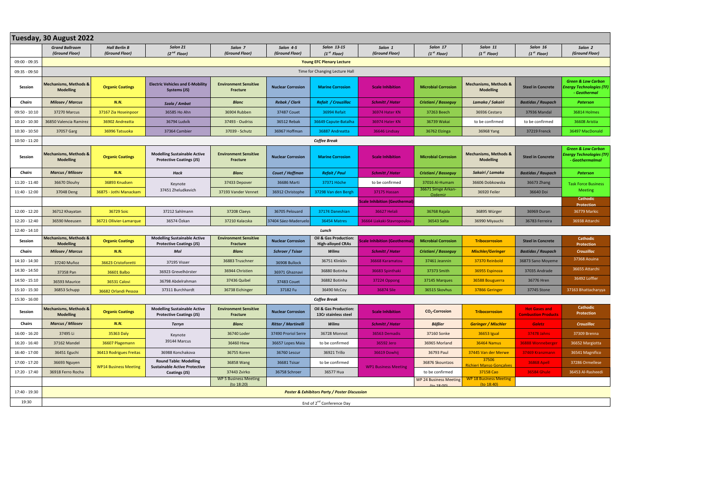|               | Tuesday, 30 August 2022                              |                                        |                                                                        |                                            |                             |                                                          |                                     |                                                |                                                      |                                                    |                                                                                     |  |  |
|---------------|------------------------------------------------------|----------------------------------------|------------------------------------------------------------------------|--------------------------------------------|-----------------------------|----------------------------------------------------------|-------------------------------------|------------------------------------------------|------------------------------------------------------|----------------------------------------------------|-------------------------------------------------------------------------------------|--|--|
|               | <b>Grand Ballroom</b><br>(Ground Floor)              | <b>Hall Berlin B</b><br>(Ground Floor) | Salon 21<br>$(2nd$ Floor)                                              | Salon 7<br>(Ground Floor)                  | Salon 4-5<br>(Ground Floor) | Salon 13-15<br>$(1st$ Floor)                             | Salon 1<br>(Ground Floor)           | Salon 17<br>$(1st$ Floor)                      | Salon 11<br>$(1st$ Floor)                            | Salon 16<br>$(1st$ Floor)                          | Salon 2<br>(Ground Floor)                                                           |  |  |
| 09:00 - 09:35 | <b>Young EFC Plenary Lecture</b>                     |                                        |                                                                        |                                            |                             |                                                          |                                     |                                                |                                                      |                                                    |                                                                                     |  |  |
| 09:35 - 09:50 | Time for Changing Lecture Hall                       |                                        |                                                                        |                                            |                             |                                                          |                                     |                                                |                                                      |                                                    |                                                                                     |  |  |
| Session       | <b>Mechanisms, Methods &amp;</b><br><b>Modelling</b> | <b>Organic Coatings</b>                | <b>Electric Vehicles and E-Mobility</b><br>Systems (JS)                | <b>Environment Sensitive</b><br>Fracture   | <b>Nuclear Corrosion</b>    | <b>Marine Corrosion</b>                                  | <b>Scale Inhibition</b>             | <b>Microbial Corrosion</b>                     | <b>Mechanisms, Methods &amp;</b><br><b>Modelling</b> | <b>Steel in Concrete</b>                           | <b>Green &amp; Low Carbon</b><br>nergy Technologies (TF):<br>- Geothermal           |  |  |
| Chairs        | <b>Milosev / Marcus</b>                              | <b>N.N.</b>                            | Szala / Ambat                                                          | <b>Blanc</b>                               | <b>Rebak / Clark</b>        | <b>Refait / Crouzillac</b>                               | <b>Schmitt / Hater</b>              | Cristiani / Basseguy                           | Lamaka / Sakairi                                     | <b>Bastidas / Raupach</b>                          | <b>Paterson</b>                                                                     |  |  |
| 09:50 - 10:10 | 37270 Marcus                                         | 37167 Zia Hoseinpoor                   | 36585 Ho Ahn                                                           | 36904 Rubben                               | 37487 Couet                 | 36994 Refait                                             | 36974 Hater KN                      | 37263 Beech                                    | 36936 Cestaro                                        | 37936 Mandal                                       | 36814 Holmes                                                                        |  |  |
| 10:10 - 10:30 | 36850 Valencia Ramirez                               | 36902 Andreatta                        | 36794 Ludvík                                                           | 37493 - Oudriss                            | 36512 Rebak                 | 36649 Capute-Batalha                                     | 36974 Hater KN                      | 36739 Wakai                                    | to be confirmed                                      | to be confirmed                                    | 36608 Aristia                                                                       |  |  |
| 10:30 - 10:50 | 37057 Garg                                           | 36996 Tatsuoka                         | 37364 Cambier                                                          | 37039 - Schutz                             | 36967 Hoffman               | 36887 Andreatta                                          | 36646 Lindsay                       | 36762 Elzinga                                  | 36968 Yang                                           | 37219 Frenck                                       | 36497 MacDonald                                                                     |  |  |
| 10:50 - 11:20 |                                                      |                                        |                                                                        |                                            |                             | <b>Coffee Break</b>                                      |                                     |                                                |                                                      |                                                    |                                                                                     |  |  |
| Session       | <b>Mechanisms, Methods &amp;</b><br><b>Modelling</b> | <b>Organic Coatings</b>                | <b>Modelling Sustainable Active</b><br><b>Protective Coatings (JS)</b> | <b>Environment Sensitive</b><br>Fracture   | <b>Nuclear Corrosion</b>    | <b>Marine Corrosion</b>                                  | <b>Scale Inhibition</b>             | <b>Microbial Corrosion</b>                     | <b>Mechanisms, Methods &amp;</b><br><b>Modelling</b> | <b>Steel in Concrete</b>                           | <b>Green &amp; Low Carbon</b><br><b>Energy Technologies (TF)</b><br>- Geothermalmal |  |  |
| <b>Chairs</b> | <b>Marcus / Milosev</b>                              | N.N.                                   | <b>Hack</b>                                                            | <b>Blanc</b>                               | Couet / Hoffman             | <b>Refait / Paul</b>                                     | <b>Schmitt / Hater</b>              | Cristiani / Basseguy                           | Sakairi / Lamaka                                     | <b>Bastidas / Raupach</b>                          | <b>Paterson</b>                                                                     |  |  |
| 11:20 - 11:40 | 36670 Dlouhy                                         | 36893 Knudsen                          | Keynote                                                                | 37433 Depover                              | 36686 Marti                 | 37371 Höche                                              | to be confirmed                     | 37016 Al-Humam                                 | 36606 Dobkowska                                      | 36673 Zhang                                        | <b>Task Force Business</b>                                                          |  |  |
| 11:40 - 12:00 | 37048 Deng                                           | 36875 - Jothi Manackam                 | 37451 Zheludkevich                                                     | 37193 Vander Vennet                        | 36912 Christophe            | 37298 Van den Bergh                                      | 37175 Hassan                        | 36671 Simge Arkan-<br>Ozdemir                  | 36920 Feiler                                         | 36640 Doi                                          | <b>Meeting</b>                                                                      |  |  |
|               |                                                      |                                        |                                                                        |                                            |                             |                                                          | Scale Inhibition (Geothermal        |                                                |                                                      |                                                    | <b>Cathodic</b><br><b>Protection</b>                                                |  |  |
| 12:00 - 12:20 | 36712 Khayatan                                       | 36729 Soic                             | 37212 Sahlmann                                                         | 37208 Claeys                               | 36705 Pelouard              | 37174 Daneshian                                          | <b>36627 Helali</b>                 | 36768 Rajala                                   | 36895 Würger                                         | 36969 Duran                                        | 36779 Markic                                                                        |  |  |
| 12:20 - 12:40 | 36590 Meeusen                                        | 36721 Ollivier-Lamarque                | 36574 Özkan                                                            | 37210 Kalacska                             | 37404 Sáez-Maderuelo        | 36454 Matres                                             | 36664 Liakaki-Stavropoulou          | 36543 Salta                                    | 36990 Miyauchi                                       | 36783 Ferreira                                     | 36938 Attarchi                                                                      |  |  |
| 12:40 - 14:10 |                                                      |                                        |                                                                        |                                            |                             | Lunch                                                    |                                     |                                                |                                                      |                                                    |                                                                                     |  |  |
| Session       | <b>Mechanisms, Methods &amp;</b><br><b>Modelling</b> | <b>Organic Coatings</b>                | <b>Modelling Sustainable Active</b><br><b>Protective Coatings (JS)</b> | <b>Environment Sensitive</b><br>Fracture   | <b>Nuclear Corrosion</b>    | Oil & Gas Production:<br><b>High-alloyed CRAs</b>        | <b>Scale Inhibition (Geothermal</b> | <b>Microbial Corrosion</b>                     | <b>Tribocorrosion</b>                                | <b>Steel in Concrete</b>                           | <b>Cathodic</b><br><b>Protection</b>                                                |  |  |
| <b>Chairs</b> | <b>Milosev / Marcus</b>                              | <b>N.N.</b>                            | Mol                                                                    | <b>Blanc</b>                               | Schroer / Tsisar            | Wilms                                                    | <b>Schmitt / Hater</b>              | Cristiani / Basseguy                           | <b>Mischler/Geringer</b>                             | <b>Bastidas / Raupach</b>                          | <b>Crouzillac</b>                                                                   |  |  |
| 14:10 - 14:30 | 37240 Muñoz                                          | 36623 Cristoforetti                    | 37195 Visser                                                           | 36883 Truschner                            | 36908 Bullock               | 36751 Klinklin                                           | 36668 Karamatou                     | 37461 Jeannin                                  | 37370 Reinbold                                       | 36873 Sano Moyeme                                  | 37368 Aouina                                                                        |  |  |
| 14:30 - 14:50 | 37358 Pan                                            | 36601 Balbo                            | 36923 Grevelhörster                                                    | 36944 Christien                            | 36971 Ghaznavi              | 36880 Botinha                                            | 36683 Spinthaki                     | 37373 Smith                                    | 36955 Espinoza                                       | 37035 Andrade                                      | 36655 Attarchi                                                                      |  |  |
| 14:50 - 15:10 | 36593 Maurice                                        | 36531 Calovi                           | 36798 Abdelrahman                                                      | 37436 Quibel                               | 37483 Couet                 | 36882 Botinha                                            | 37224 Oppong                        | 37145 Marques                                  | 36588 Bouguerra                                      | 36776 Hren                                         | 36492 Loffler                                                                       |  |  |
| 15:10 - 15:30 | 36853 Schupp                                         | 36682 Orlandi Pessoa                   | 37311 Burchhardt                                                       | 36738 Eichinger                            | 37182 Fu                    | 36490 McCoy                                              | 36874 Sile                          | 36515 Skovhus                                  | 37866 Geringer                                       | 37745 Stone                                        | 37163 Bhattacharyya                                                                 |  |  |
| 15:30 - 16:00 |                                                      |                                        |                                                                        |                                            |                             | Coffee Break                                             |                                     |                                                |                                                      |                                                    |                                                                                     |  |  |
| Session       | Mechanisms, Methods &<br><b>Modelling</b>            | <b>Organic Coatings</b>                | <b>Modelling Sustainable Active</b><br><b>Protective Coatings (JS)</b> | <b>Environment Sensitive</b><br>Fracture   | <b>Nuclear Corrosion</b>    | Oil & Gas Production:<br>13Cr stainless steel            | <b>Scale Inhibition</b>             | $CO2$ -Corrosion                               | <b>Tribocorrosion</b>                                | <b>Hot Gases and</b><br><b>Combustion Products</b> | <b>Cathodic</b><br>Protection                                                       |  |  |
| Chairs        | <b>Marcus / Milosev</b>                              | <b>N.N.</b>                            | <b>Terryn</b>                                                          | <b>Blanc</b>                               | <b>Ritter / Martinelli</b>  | Wilms                                                    | <b>Schmitt / Hater</b>              | <b>Bäßler</b>                                  | <b>Geringer / Mischler</b>                           | <b>Galetz</b>                                      | <b>Crouzillac</b>                                                                   |  |  |
| 16:00 - 16:20 | 37495 Li                                             | 35363 Daly                             | Keynote                                                                | 36740 Loder                                | 37490 Proriol Serre         | 36728 Monnot                                             | 36563 Demadis                       | 37160 Sonke                                    | 36653 Igual                                          | 37478 Jahns                                        | 37309 Brenna                                                                        |  |  |
| 16:20 - 16:40 | 37162 Mandel                                         | 36607 Plagemann                        | 39144 Marcus                                                           | 36460 Hiew                                 | 36657 Lopes Maia            | to be confirmed                                          | 36592 Jero                          | 36965 Morland                                  | <b>36464 Namus</b>                                   | 36888 Wonneberger                                  | 36652 Margiotta                                                                     |  |  |
| 16:40 - 17:00 | 36451 Eguchi                                         | 36413 Rodrigues Freitas                | 36988 Konchakova                                                       | 36755 Koren                                | 36760 Lescur                | 36921 Trillo                                             | 36619 Dowhij                        | 36793 Paul                                     | 37445 Van der Merwe                                  | 37469 Kranzmann                                    | 36541 Magnifico                                                                     |  |  |
| 17:00 - 17:20 | 36693 Nguyen                                         |                                        | <b>Round Table: Modelling</b>                                          | 36858 Wang                                 | 36681 Tsisar                | to be confirmed                                          | <b>WP1 Business Meeting</b>         | 36876 Skountzos                                | 37506<br><b>Richieri Manso Goncalves</b>             | <b>36868 Apell</b>                                 | 37286 Ormellese                                                                     |  |  |
| 17:20 - 17:40 | 36918 Ferro Rocha                                    | <b>WP14 Business Meeting</b>           | <b>Sustainable Active Protective</b><br>Coatings (JS)                  | 37443 Zvirko                               | 36758 Schroer               | 36577 Hua                                                |                                     | to be confirmed                                | 37158 Cao                                            | <b>36584 Ghule</b>                                 | 36453 Al-Rasheedi                                                                   |  |  |
|               |                                                      |                                        |                                                                        | <b>WP 5 Business Meeting</b><br>(to 18:20) |                             |                                                          |                                     | <b>WP 24 Business Meeting</b><br>$(t_0 18.00)$ | <b>WP 18 Business Meeting</b><br>(to 18:40)          |                                                    |                                                                                     |  |  |
| 17:40 - 19:30 |                                                      |                                        |                                                                        |                                            |                             | <b>Poster &amp; Exhibitors Party / Poster Discussion</b> |                                     |                                                |                                                      |                                                    |                                                                                     |  |  |
| 19:30         |                                                      |                                        |                                                                        |                                            |                             | End of 2 <sup>nd</sup> Conference Day                    |                                     |                                                |                                                      |                                                    |                                                                                     |  |  |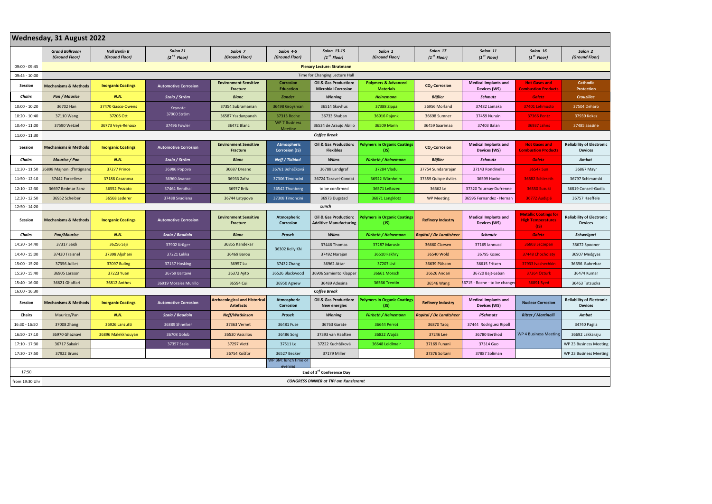|                 | <b>Wednesday, 31 August 2022</b>        |                                        |                             |                                                          |                                             |                                                                   |                                                    |                                |                                                    |                                                                  |                                                    |  |
|-----------------|-----------------------------------------|----------------------------------------|-----------------------------|----------------------------------------------------------|---------------------------------------------|-------------------------------------------------------------------|----------------------------------------------------|--------------------------------|----------------------------------------------------|------------------------------------------------------------------|----------------------------------------------------|--|
|                 | <b>Grand Ballroom</b><br>(Ground Floor) | <b>Hall Berlin B</b><br>(Ground Floor) | Salon 21<br>$(2nd$ Floor)   | Salon 7<br>(Ground Floor)                                | Salon 4-5<br>(Ground Floor)                 | <b>Salon 13-15</b><br>$(1st$ Floor)                               | Salon 1<br>(Ground Floor)                          | Salon 17<br>$(1st$ Floor)      | Salon 11<br>$(1st$ Floor)                          | Salon 16<br>$(1st$ Floor)                                        | Salon 2<br>(Ground Floor)                          |  |
| 09:00 - 09:45   |                                         |                                        |                             |                                                          |                                             | <b>Plenary Lecture: Stratmann</b>                                 |                                                    |                                |                                                    |                                                                  |                                                    |  |
| 09:45 - 10:00   | Time for Changing Lecture Hall          |                                        |                             |                                                          |                                             |                                                                   |                                                    |                                |                                                    |                                                                  |                                                    |  |
| Session         | <b>Mechanisms &amp; Methods</b>         | <b>Inorganic Coatings</b>              | <b>Automotive Corrosion</b> | <b>Environment Sensitive</b><br>Fracture                 | <b>Corrosion</b><br><b>Education</b>        | Oil & Gas Production:<br><b>Microbial Corrosion</b>               | <b>Polymers &amp; Advanced</b><br><b>Materials</b> | CO <sub>2</sub> -Corrosion     | <b>Medical Implants and</b><br>Devices (WS)        | <b>Hot Gases and</b><br><u>Combustion Products</u>               | Cathodic<br>Protection                             |  |
| Chairs          | Pan / Maurice                           | N.N.                                   | Szala / Ström               | <b>Blanc</b>                                             | <b>Zander</b>                               | Winning                                                           | <b>Heinemann</b>                                   | <b>Bäßler</b>                  | Schmutz                                            | <b>Galetz</b>                                                    | Crouzillac                                         |  |
| $10:00 - 10:20$ | 36702 Han                               | 37470 Gasco-Owens                      | Keynote                     | 37354 Subramanian                                        | 36498 Groysman                              | 36514 Skovhus                                                     | 37388 Zippa                                        | 36956 Morland                  | 37482 Lamaka                                       | 37401 Lehmusto                                                   | 37504 Deharo                                       |  |
| 10:20 - 10:40   | 37110 Wang                              | 37206 Ott                              | 37900 Ström                 | 36587 Yazdanpanah                                        | 37313 Roche                                 | 36733 Shaban                                                      | 36916 Pajonk                                       | 36698 Sumner                   | 37459 Nuraini                                      | <b>37366 Pentz</b>                                               | 37939 Kekez                                        |  |
| 10:40 - 11:00   | 37590 Wetzel                            | 36773 Veys-Renaux                      | 37496 Fowler                | 36472 Blanc                                              | <b>WP 7 Business</b><br>Meeting             | 36534 de Araujo Abilio                                            | 36509 Marin                                        | 36459 Saarimaa                 | 37403 Balan                                        | 36937 Jahns                                                      | 37485 Sassine                                      |  |
| 11:00 - 11:30   |                                         |                                        |                             |                                                          |                                             | <b>Coffee Break</b>                                               |                                                    |                                |                                                    |                                                                  |                                                    |  |
| Session         | <b>Mechanisms &amp; Methods</b>         | <b>Inorganic Coatings</b>              | <b>Automotive Corrosion</b> | <b>Environment Sensitive</b><br>Fracture                 | <b>Atmospheric</b><br><b>Corrosion (JS)</b> | <b>Oil &amp; Gas Production:</b><br><b>Flexibles</b>              | <b>olymers in Organic Coatings</b><br>(IS)         | $CO2$ -Corrosion               | <b>Medical Implants and</b><br>Devices (WS)        | <b>Hot Gases and</b><br><u>Combustion Products</u>               | <b>Reliability of Electronic</b><br><b>Devices</b> |  |
| <b>Chairs</b>   | <b>Maurice / Pan</b>                    | N.N.                                   | Szala / Ström               | <b>Blanc</b>                                             | Neff / Tidblad                              | Wilms                                                             | <b>Fürbeth / Heinemann</b>                         | <b>Bäßler</b>                  | <b>Schmutz</b>                                     | <b>Galetz</b>                                                    | Ambat                                              |  |
| 11:30 - 11:50   | 36898 Majnoni d'Intignano               | 37277 Prince                           | 36986 Popova                | 36687 Dreano                                             | 36761 Boháčková                             | 36788 Landgraf                                                    | 37284 Vladu                                        | 37754 Sundararajan             | 37143 Rondinella                                   | 36547 Sun                                                        | 36867 Mayr                                         |  |
| 11:50 - 12:10   | 37442 Forcellese                        | 37188 Casanova                         | 36960 Avance                | 36933 Zafra                                              | 37306 Timoncini                             | 36724 Taravel-Condat                                              | 36922 Wärnheim                                     | 37559 Quispe Aviles            | 36599 Hanke                                        | 36582 Schlereth                                                  | 36797 Schimanski                                   |  |
| 12:10 - 12:30   | 36697 Bedmar Sanz                       | 36552 Pezzato                          | 37464 Rendhal               | 36977 Brilz                                              | 36542 Thunberg                              | to be confirmed                                                   | 36571 LeBozec                                      | 36662 Le                       | 37320 Tournay-Dufrenne                             | 36550 Suzuki                                                     | 36819 Conseil-Gudla                                |  |
| 12:30 - 12:50   | 36952 Scheiber                          | 36568 Lederer                          | 37488 Svadlena              | 36744 Latypova                                           | 37308 Timoncini                             | 36973 Dugstad                                                     | 36871 Langklotz                                    | <b>WP Meeting</b>              | 36596 Fernandez - Hernan                           | 36772 Audigié                                                    | 36757 Haeffele                                     |  |
| 12:50 - 14:20   |                                         |                                        |                             |                                                          |                                             | Lunch                                                             |                                                    |                                |                                                    |                                                                  |                                                    |  |
| Session         | <b>Mechanisms &amp; Methods</b>         | <b>Inorganic Coatings</b>              | <b>Automotive Corrosion</b> | <b>Environment Sensitive</b><br><b>Fracture</b>          | <b>Atmospheric</b><br><b>Corrosion</b>      | <b>Oil &amp; Gas Production:</b><br><b>Additive Manufacturing</b> | Olymers in Organic Coatings<br>(JS)                | <b>Refinery Industry</b>       | <b>Medical Implants and</b><br>Devices (WS)        | <b>Metallic Coatings for</b><br><b>High Temperatures</b><br>(JS) | <b>Reliability of Electronic</b><br><b>Devices</b> |  |
| <b>Chairs</b>   | <b>Pan/Maurice</b>                      | N.N.                                   | Szala / Baudoin             | <b>Blanc</b>                                             | Prosek                                      | Wilms                                                             | <b>Fürbeth / Heinemann</b>                         | <b>Ropital / De Landtsheer</b> | <b>Schmutz</b>                                     | <b>Galetz</b>                                                    | Schweigart                                         |  |
| 14:20 - 14:40   | 37317 Saidi                             | 36256 Saji                             | 37902 Krüger                | 36855 Kandekar                                           |                                             | 37446 Thomas                                                      | 37287 Marusic                                      | 36660 Claesen                  | 37165 lannucci                                     | 36803 Szczepan                                                   | 36672 Spooner                                      |  |
| 14:40 - 15:00   | 37430 Traisnel                          | 37398 Aljohani                         | 37221 Lekka                 | 36469 Barou                                              | 36302 Kelly KN                              | 37492 Narajan                                                     | 36510 Fakhry                                       | 36540 Wold                     | 36795 Kosec                                        | 37448 Chocholaty                                                 | 36907 Medgyes                                      |  |
| 15:00 - 15:20   | 37356 Juillet                           | <b>37097 Buling</b>                    | 37137 Hosking               | 36957 Lu                                                 | 37432 Zhang                                 | 36962 Attar                                                       | 37207 Livi                                         | 36639 Pålsson                  | 36615 Fritzen                                      | 37933 Ivashechkin                                                | 36696 Bahrebar                                     |  |
| 15:20 - 15:40   | 36905 Larsson                           | 37223 Yuan                             | 36759 Bartawi               | 36372 Ajito                                              | 36526 Blackwood                             | 36906 Samiento Klapper                                            | 36661 Morsch                                       | 36626 Andari                   | 36720 Bajt-Leban                                   | 37264 Öztürk                                                     | 36474 Kumar                                        |  |
| 15:40 - 16:00   | 36621 Ghaffari                          | 36812 Anthes                           | 36919 Morales Murillo       | 36594 Cui                                                | 36950 Agnew                                 | 36489 Adesina                                                     | 36566 Trentin                                      | 36546 Wang                     | 36715 - Roche - to be changed                      | 36891 Syed                                                       | 36463 Tatsuoka                                     |  |
| $16:00 - 16:30$ |                                         |                                        |                             |                                                          |                                             | <b>Coffee Break</b>                                               |                                                    |                                |                                                    |                                                                  |                                                    |  |
| Session         | <b>Mechanisms &amp; Methods</b>         | <b>Inorganic Coatings</b>              | <b>Automotive Corrosion</b> | <b>Archaeological and Historical</b><br><b>Artefacts</b> | Atmospheric<br>Corrosion                    | Oil & Gas Production:<br><b>New energies</b>                      | <b>Polymers in Organic Coatings</b><br>(JS)        | <b>Refinery Industry</b>       | <b>Medical Implants and</b><br><b>Devices (WS)</b> | <b>Nuclear Corrosion</b>                                         | <b>Reliability of Electronic</b><br><b>Devices</b> |  |
| Chairs          | Maurice/Pan                             | N.N.                                   | Szala / Baudoin             | Neff/Watkinson                                           | Prosek                                      | <b>Winning</b>                                                    | Fürbeth / Heinemann                                | <b>Ropital / De Landtsheer</b> | PSchmutz                                           | Ritter / Martinelli                                              | Ambat                                              |  |
| 16:30 - 16:50   | 37008 Zhang                             | 36926 Lanzutti                         | 36889 Shneiker              | 37363 Vernet                                             | 36481 Fuse                                  | 36763 Garate                                                      | 36644 Perrot                                       | 36870 Tacq                     | 37444 Rodriguez Ripoll                             |                                                                  | 34740 Pagila                                       |  |
| 16:50 - 17:10   | 36970 Ghaznavi                          | 36896 Malekkhouyan                     | 36708 Golob                 | 36530 Vassiliou                                          | 36486 Sorg                                  | 37393 van Haaften                                                 | 36822 Wojda                                        | 37246 Lee                      | 36780 Berthod                                      | <b>WP 4 Business Meeting</b>                                     | 36692 Lakkaraju                                    |  |
| 17:10 - 17:30   | 36717 Sakairi                           |                                        | 37357 Szala                 | 37297 Vietti                                             | 37511 Le                                    | 37222 Kuchťáková                                                  | 36648 Leidlmair                                    | 37169 Funani                   | 37314 Guo                                          |                                                                  | WP 23 Business Meeting                             |  |
| 17:30 - 17:50   | 37922 Bruns                             |                                        |                             | 36754 Košťúr                                             | 36527 Becker                                | 37179 Miller                                                      |                                                    | 37376 Soltani                  | 37887 Soliman                                      |                                                                  | WP 23 Business Meeting                             |  |
|                 |                                         |                                        |                             |                                                          | WP BM: lunch time or<br>evening             |                                                                   |                                                    |                                |                                                    |                                                                  |                                                    |  |
| 17:50           |                                         |                                        |                             |                                                          |                                             | End of 3 <sup>rd</sup> Conference Day                             |                                                    |                                |                                                    |                                                                  |                                                    |  |
| from 19:30 Uhr  |                                         |                                        |                             |                                                          |                                             | <b>CONGRESS DINNER at TIPI am Kanzleramt</b>                      |                                                    |                                |                                                    |                                                                  |                                                    |  |